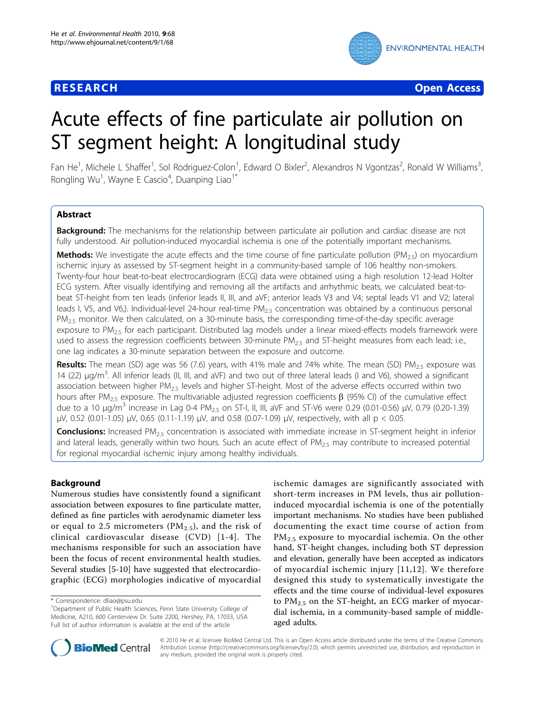

**RESEARCH CONTROL** CONTROL CONTROL CONTROL CONTROL CONTROL CONTROL CONTROL CONTROL CONTROL CONTROL CONTROL CONTROL CONTROL CONTROL CONTROL CONTROL CONTROL CONTROL CONTROL CONTROL CONTROL CONTROL CONTROL CONTROL CONTROL CON

# Acute effects of fine particulate air pollution on ST segment height: A longitudinal study

Fan He<sup>1</sup>, Michele L Shaffer<sup>1</sup>, Sol Rodriguez-Colon<sup>1</sup>, Edward O Bixler<sup>2</sup>, Alexandros N Vgontzas<sup>2</sup>, Ronald W Williams<sup>3</sup> , Rongling Wu<sup>1</sup>, Wayne E Cascio<sup>4</sup>, Duanping Liao<sup>1\*</sup>

# Abstract

Background: The mechanisms for the relationship between particulate air pollution and cardiac disease are not fully understood. Air pollution-induced myocardial ischemia is one of the potentially important mechanisms.

**Methods:** We investigate the acute effects and the time course of fine particulate pollution (PM<sub>2.5</sub>) on myocardium ischemic injury as assessed by ST-segment height in a community-based sample of 106 healthy non-smokers. Twenty-four hour beat-to-beat electrocardiogram (ECG) data were obtained using a high resolution 12-lead Holter ECG system. After visually identifying and removing all the artifacts and arrhythmic beats, we calculated beat-tobeat ST-height from ten leads (inferior leads II, III, and aVF; anterior leads V3 and V4; septal leads V1 and V2; lateral leads I, V5, and V6,). Individual-level 24-hour real-time  $PM_{2.5}$  concentration was obtained by a continuous personal  $PM<sub>2.5</sub>$  monitor. We then calculated, on a 30-minute basis, the corresponding time-of-the-day specific average exposure to  $PM_{2.5}$  for each participant. Distributed lag models under a linear mixed-effects models framework were used to assess the regression coefficients between 30-minute  $PM_{2.5}$  and ST-height measures from each lead; i.e., one lag indicates a 30-minute separation between the exposure and outcome.

**Results:** The mean (SD) age was 56 (7.6) years, with 41% male and 74% white. The mean (SD)  $PM_{2.5}$  exposure was 14 (22) μg/m<sup>3</sup>. All inferior leads (II, III, and aVF) and two out of three lateral leads (I and V6), showed a significant association between higher  $PM_{2.5}$  levels and higher ST-height. Most of the adverse effects occurred within two hours after PM<sub>2.5</sub> exposure. The multivariable adjusted regression coefficients  $\beta$  (95% CI) of the cumulative effect due to a 10  $\mu$ g/m<sup>3</sup> increase in Lag 0-4 PM<sub>2.5</sub> on ST-I, II, III, aVF and ST-V6 were 0.29 (0.01-0.56)  $\mu$ V, 0.79 (0.20-1.39) μV, 0.52 (0.01-1.05) μV, 0.65 (0.11-1.19) μV, and 0.58 (0.07-1.09) μV, respectively, with all p < 0.05.

**Conclusions:** Increased PM<sub>2.5</sub> concentration is associated with immediate increase in ST-segment height in inferior and lateral leads, generally within two hours. Such an acute effect of  $PM_{2.5}$  may contribute to increased potential for regional myocardial ischemic injury among healthy individuals.

# Background

Numerous studies have consistently found a significant association between exposures to fine particulate matter, defined as fine particles with aerodynamic diameter less or equal to 2.5 micrometers ( $PM_{2.5}$ ), and the risk of clinical cardiovascular disease (CVD) [[1](#page-8-0)-[4](#page-8-0)]. The mechanisms responsible for such an association have been the focus of recent environmental health studies. Several studies [\[5-10](#page-8-0)] have suggested that electrocardiographic (ECG) morphologies indicative of myocardial

ischemic damages are significantly associated with short-term increases in PM levels, thus air pollutioninduced myocardial ischemia is one of the potentially important mechanisms. No studies have been published documenting the exact time course of action from  $PM<sub>2.5</sub>$  exposure to myocardial ischemia. On the other hand, ST-height changes, including both ST depression and elevation, generally have been accepted as indicators of myocardial ischemic injury [[11](#page-8-0),[12\]](#page-8-0). We therefore designed this study to systematically investigate the effects and the time course of individual-level exposures to  $PM_{2.5}$  on the ST-height, an ECG marker of myocardial ischemia, in a community-based sample of middleaged adults.



© 2010 He et al; licensee BioMed Central Ltd. This is an Open Access article distributed under the terms of the Creative Commons Attribution License [\(http://creativecommons.org/licenses/by/2.0](http://creativecommons.org/licenses/by/2.0)), which permits unrestricted use, distribution, and reproduction in any medium, provided the original work is properly cited.

<sup>\*</sup> Correspondence: [dliao@psu.edu](mailto:dliao@psu.edu)

<sup>&</sup>lt;sup>1</sup>Department of Public Health Sciences, Penn State University College of Medicine, A210, 600 Centerview Dr. Suite 2200, Hershey, PA, 17033, USA Full list of author information is available at the end of the article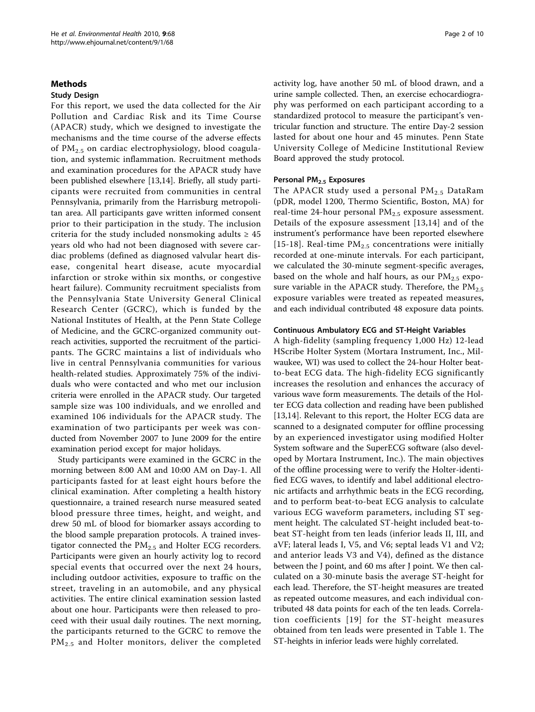# Methods

# Study Design

For this report, we used the data collected for the Air Pollution and Cardiac Risk and its Time Course (APACR) study, which we designed to investigate the mechanisms and the time course of the adverse effects of  $PM_{2,5}$  on cardiac electrophysiology, blood coagulation, and systemic inflammation. Recruitment methods and examination procedures for the APACR study have been published elsewhere [\[13,14\]](#page-8-0). Briefly, all study participants were recruited from communities in central Pennsylvania, primarily from the Harrisburg metropolitan area. All participants gave written informed consent prior to their participation in the study. The inclusion criteria for the study included nonsmoking adults  $\geq 45$ years old who had not been diagnosed with severe cardiac problems (defined as diagnosed valvular heart disease, congenital heart disease, acute myocardial infarction or stroke within six months, or congestive heart failure). Community recruitment specialists from the Pennsylvania State University General Clinical Research Center (GCRC), which is funded by the National Institutes of Health, at the Penn State College of Medicine, and the GCRC-organized community outreach activities, supported the recruitment of the participants. The GCRC maintains a list of individuals who live in central Pennsylvania communities for various health-related studies. Approximately 75% of the individuals who were contacted and who met our inclusion criteria were enrolled in the APACR study. Our targeted sample size was 100 individuals, and we enrolled and examined 106 individuals for the APACR study. The examination of two participants per week was conducted from November 2007 to June 2009 for the entire examination period except for major holidays.

Study participants were examined in the GCRC in the morning between 8:00 AM and 10:00 AM on Day-1. All participants fasted for at least eight hours before the clinical examination. After completing a health history questionnaire, a trained research nurse measured seated blood pressure three times, height, and weight, and drew 50 mL of blood for biomarker assays according to the blood sample preparation protocols. A trained investigator connected the  $PM<sub>2.5</sub>$  and Holter ECG recorders. Participants were given an hourly activity log to record special events that occurred over the next 24 hours, including outdoor activities, exposure to traffic on the street, traveling in an automobile, and any physical activities. The entire clinical examination session lasted about one hour. Participants were then released to proceed with their usual daily routines. The next morning, the participants returned to the GCRC to remove the PM<sub>2.5</sub> and Holter monitors, deliver the completed activity log, have another 50 mL of blood drawn, and a urine sample collected. Then, an exercise echocardiography was performed on each participant according to a standardized protocol to measure the participant's ventricular function and structure. The entire Day-2 session lasted for about one hour and 45 minutes. Penn State University College of Medicine Institutional Review Board approved the study protocol.

# Personal PM<sub>2.5</sub> Exposures

The APACR study used a personal  $PM_{2.5}$  DataRam (pDR, model 1200, Thermo Scientific, Boston, MA) for real-time 24-hour personal  $PM_{2.5}$  exposure assessment. Details of the exposure assessment [[13](#page-8-0),[14\]](#page-8-0) and of the instrument's performance have been reported elsewhere [[15](#page-8-0)-[18\]](#page-8-0). Real-time  $PM_{2.5}$  concentrations were initially recorded at one-minute intervals. For each participant, we calculated the 30-minute segment-specific averages, based on the whole and half hours, as our  $PM_{2.5}$  exposure variable in the APACR study. Therefore, the  $PM_{2.5}$ exposure variables were treated as repeated measures, and each individual contributed 48 exposure data points.

#### Continuous Ambulatory ECG and ST-Height Variables

A high-fidelity (sampling frequency 1,000 Hz) 12-lead HScribe Holter System (Mortara Instrument, Inc., Milwaukee, WI) was used to collect the 24-hour Holter beatto-beat ECG data. The high-fidelity ECG significantly increases the resolution and enhances the accuracy of various wave form measurements. The details of the Holter ECG data collection and reading have been published [[13,14](#page-8-0)]. Relevant to this report, the Holter ECG data are scanned to a designated computer for offline processing by an experienced investigator using modified Holter System software and the SuperECG software (also developed by Mortara Instrument, Inc.). The main objectives of the offline processing were to verify the Holter-identified ECG waves, to identify and label additional electronic artifacts and arrhythmic beats in the ECG recording, and to perform beat-to-beat ECG analysis to calculate various ECG waveform parameters, including ST segment height. The calculated ST-height included beat-tobeat ST-height from ten leads (inferior leads II, III, and aVF; lateral leads I, V5, and V6; septal leads V1 and V2; and anterior leads V3 and V4), defined as the distance between the J point, and 60 ms after J point. We then calculated on a 30-minute basis the average ST-height for each lead. Therefore, the ST-height measures are treated as repeated outcome measures, and each individual contributed 48 data points for each of the ten leads. Correlation coefficients [[19\]](#page-9-0) for the ST-height measures obtained from ten leads were presented in Table [1.](#page-2-0) The ST-heights in inferior leads were highly correlated.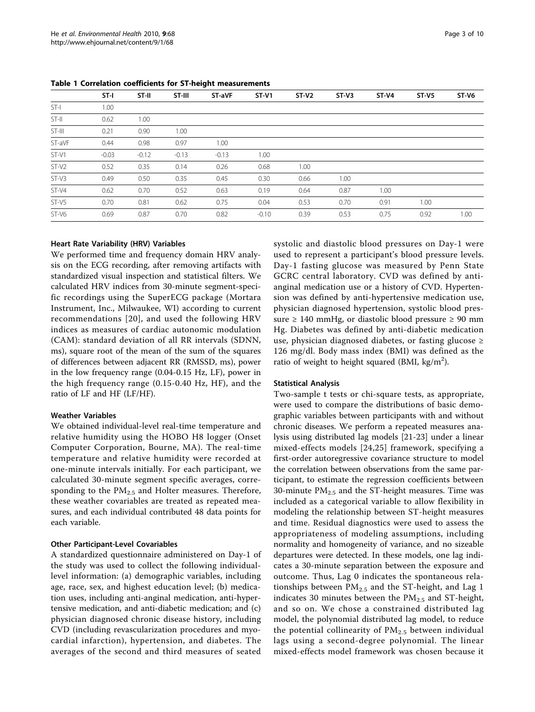|         | $ST-I$  | ST-II   | ST-III  | ST-aVF  | $ST-V1$ | $ST-V2$ | $ST-V3$ | $ST-V4$ | $ST-VI$ | $ST-V6$ |
|---------|---------|---------|---------|---------|---------|---------|---------|---------|---------|---------|
| ST-I    | 1.00    |         |         |         |         |         |         |         |         |         |
| ST-II   | 0.62    | 1.00    |         |         |         |         |         |         |         |         |
| ST-III  | 0.21    | 0.90    | 1.00    |         |         |         |         |         |         |         |
| ST-aVF  | 0.44    | 0.98    | 0.97    | 1.00    |         |         |         |         |         |         |
| ST-V1   | $-0.03$ | $-0.12$ | $-0.13$ | $-0.13$ | 1.00    |         |         |         |         |         |
| $ST-V2$ | 0.52    | 0.35    | 0.14    | 0.26    | 0.68    | 1.00    |         |         |         |         |
| ST-V3   | 0.49    | 0.50    | 0.35    | 0.45    | 0.30    | 0.66    | 1.00    |         |         |         |
| ST-V4   | 0.62    | 0.70    | 0.52    | 0.63    | 0.19    | 0.64    | 0.87    | 1.00    |         |         |
| ST-V5   | 0.70    | 0.81    | 0.62    | 0.75    | 0.04    | 0.53    | 0.70    | 0.91    | 1.00    |         |
| $ST-V6$ | 0.69    | 0.87    | 0.70    | 0.82    | $-0.10$ | 0.39    | 0.53    | 0.75    | 0.92    | 1.00    |

<span id="page-2-0"></span>Table 1 Correlation coefficients for ST-height measurements

# Heart Rate Variability (HRV) Variables

We performed time and frequency domain HRV analysis on the ECG recording, after removing artifacts with standardized visual inspection and statistical filters. We calculated HRV indices from 30-minute segment-specific recordings using the SuperECG package (Mortara Instrument, Inc., Milwaukee, WI) according to current recommendations [[20\]](#page-9-0), and used the following HRV indices as measures of cardiac autonomic modulation (CAM): standard deviation of all RR intervals (SDNN, ms), square root of the mean of the sum of the squares of differences between adjacent RR (RMSSD, ms), power in the low frequency range (0.04-0.15 Hz, LF), power in the high frequency range (0.15-0.40 Hz, HF), and the ratio of LF and HF (LF/HF).

# Weather Variables

We obtained individual-level real-time temperature and relative humidity using the HOBO H8 logger (Onset Computer Corporation, Bourne, MA). The real-time temperature and relative humidity were recorded at one-minute intervals initially. For each participant, we calculated 30-minute segment specific averages, corresponding to the  $PM<sub>2.5</sub>$  and Holter measures. Therefore, these weather covariables are treated as repeated measures, and each individual contributed 48 data points for each variable.

# Other Participant-Level Covariables

A standardized questionnaire administered on Day-1 of the study was used to collect the following individuallevel information: (a) demographic variables, including age, race, sex, and highest education level; (b) medication uses, including anti-anginal medication, anti-hypertensive medication, and anti-diabetic medication; and (c) physician diagnosed chronic disease history, including CVD (including revascularization procedures and myocardial infarction), hypertension, and diabetes. The averages of the second and third measures of seated systolic and diastolic blood pressures on Day-1 were used to represent a participant's blood pressure levels. Day-1 fasting glucose was measured by Penn State GCRC central laboratory. CVD was defined by antianginal medication use or a history of CVD. Hypertension was defined by anti-hypertensive medication use, physician diagnosed hypertension, systolic blood pressure  $\geq 140$  mmHg, or diastolic blood pressure  $\geq 90$  mm Hg. Diabetes was defined by anti-diabetic medication use, physician diagnosed diabetes, or fasting glucose ≥ 126 mg/dl. Body mass index (BMI) was defined as the ratio of weight to height squared (BMI,  $\text{kg/m}^2$ ).

#### Statistical Analysis

Two-sample t tests or chi-square tests, as appropriate, were used to compare the distributions of basic demographic variables between participants with and without chronic diseases. We perform a repeated measures analysis using distributed lag models [[21-23](#page-9-0)] under a linear mixed-effects models [[24,25\]](#page-9-0) framework, specifying a first-order autoregressive covariance structure to model the correlation between observations from the same participant, to estimate the regression coefficients between 30-minute  $PM<sub>2.5</sub>$  and the ST-height measures. Time was included as a categorical variable to allow flexibility in modeling the relationship between ST-height measures and time. Residual diagnostics were used to assess the appropriateness of modeling assumptions, including normality and homogeneity of variance, and no sizeable departures were detected. In these models, one lag indicates a 30-minute separation between the exposure and outcome. Thus, Lag 0 indicates the spontaneous relationships between  $PM_{2.5}$  and the ST-height, and Lag 1 indicates 30 minutes between the  $PM<sub>2.5</sub>$  and ST-height, and so on. We chose a constrained distributed lag model, the polynomial distributed lag model, to reduce the potential collinearity of  $PM<sub>2.5</sub>$  between individual lags using a second-degree polynomial. The linear mixed-effects model framework was chosen because it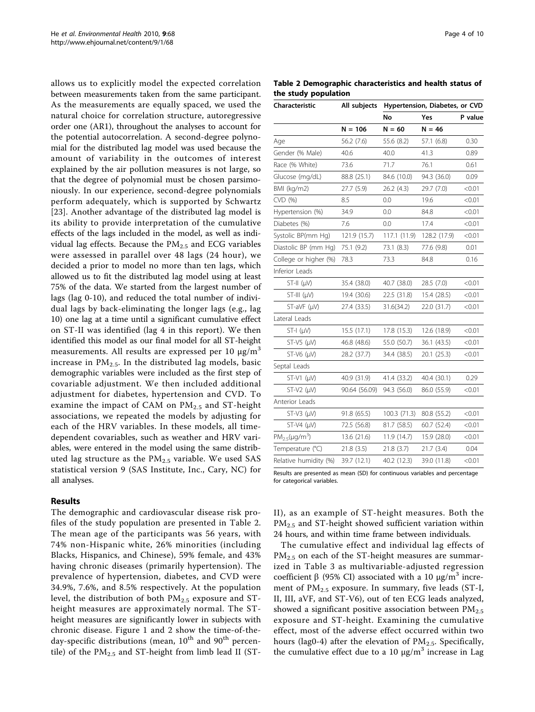allows us to explicitly model the expected correlation between measurements taken from the same participant. As the measurements are equally spaced, we used the natural choice for correlation structure, autoregressive order one (AR1), throughout the analyses to account for the potential autocorrelation. A second-degree polynomial for the distributed lag model was used because the amount of variability in the outcomes of interest explained by the air pollution measures is not large, so that the degree of polynomial must be chosen parsimoniously. In our experience, second-degree polynomials perform adequately, which is supported by Schwartz [[23](#page-9-0)]. Another advantage of the distributed lag model is its ability to provide interpretation of the cumulative effects of the lags included in the model, as well as individual lag effects. Because the  $PM<sub>2.5</sub>$  and ECG variables were assessed in parallel over 48 lags (24 hour), we decided a prior to model no more than ten lags, which allowed us to fit the distributed lag model using at least 75% of the data. We started from the largest number of lags (lag 0-10), and reduced the total number of individual lags by back-eliminating the longer lags (e.g., lag 10) one lag at a time until a significant cumulative effect on ST-II was identified (lag 4 in this report). We then identified this model as our final model for all ST-height measurements. All results are expressed per 10  $\mu$ g/m<sup>3</sup> increase in  $PM_{2.5}$ . In the distributed lag models, basic demographic variables were included as the first step of covariable adjustment. We then included additional adjustment for diabetes, hypertension and CVD. To examine the impact of CAM on  $PM_{2.5}$  and ST-height associations, we repeated the models by adjusting for each of the HRV variables. In these models, all timedependent covariables, such as weather and HRV variables, were entered in the model using the same distributed lag structure as the  $PM_{2.5}$  variable. We used SAS statistical version 9 (SAS Institute, Inc., Cary, NC) for all analyses.

# Results

The demographic and cardiovascular disease risk profiles of the study population are presented in Table 2. The mean age of the participants was 56 years, with 74% non-Hispanic white, 26% minorities (including Blacks, Hispanics, and Chinese), 59% female, and 43% having chronic diseases (primarily hypertension). The prevalence of hypertension, diabetes, and CVD were 34.9%, 7.6%, and 8.5% respectively. At the population level, the distribution of both  $PM_{2.5}$  exposure and STheight measures are approximately normal. The STheight measures are significantly lower in subjects with chronic disease. Figure [1](#page-4-0) and [2](#page-4-0) show the time-of-theday-specific distributions (mean,  $10^{th}$  and  $90^{th}$  percentile) of the  $PM_{2.5}$  and ST-height from limb lead II (ST-

Table 2 Demographic characteristics and health status of the study population

| Characteristic                                                             | All subjects  | Hypertension, Diabetes, or CVD |              |         |  |  |  |
|----------------------------------------------------------------------------|---------------|--------------------------------|--------------|---------|--|--|--|
|                                                                            |               | No                             | Yes          | P value |  |  |  |
|                                                                            | $N = 106$     | $N = 60$                       | $N = 46$     |         |  |  |  |
| Age                                                                        | 56.2 (7.6)    | 55.6 (8.2)                     | 57.1 (6.8)   | 0.30    |  |  |  |
| Gender (% Male)                                                            | 40.6          | 40.0                           | 41.3         | 0.89    |  |  |  |
| Race (% White)                                                             | 73.6          | 71.7                           | 76.1         | 0.61    |  |  |  |
| Glucose (mg/dL)                                                            | 88.8 (25.1)   | 84.6 (10.0)                    | 94.3 (36.0)  | 0.09    |  |  |  |
| BMI (kg/m2)                                                                | 27.7 (5.9)    | 26.2 (4.3)                     | 29.7 (7.0)   | < 0.01  |  |  |  |
| CVD (%)                                                                    | 8.5           | 0.0                            | 19.6         | < 0.01  |  |  |  |
| Hypertension (%)                                                           | 34.9          | 0.0                            | 84.8         | < 0.01  |  |  |  |
| Diabetes (%)                                                               | 7.6           | 0.0                            | 17.4         | < 0.01  |  |  |  |
| Systolic BP(mm Hg)                                                         | 121.9 (15.7)  | 117.1 (11.9)                   | 128.2 (17.9) | < 0.01  |  |  |  |
| Diastolic BP (mm Hg)                                                       | 75.1 (9.2)    | 73.1 (8.3)                     | 77.6 (9.8)   | 0.01    |  |  |  |
| College or higher (%)                                                      | 78.3          | 73.3                           | 84.8         | 0.16    |  |  |  |
| Inferior Leads                                                             |               |                                |              |         |  |  |  |
| $ST-II(\mu V)$                                                             | 35.4 (38.0)   | 40.7 (38.0)                    | 28.5 (7.0)   | < 0.01  |  |  |  |
| $ST-HI(\mu V)$                                                             | 19.4 (30.6)   | 22.5 (31.8)                    | 15.4 (28.5)  | < 0.01  |  |  |  |
| ST-aVF (µV)                                                                | 27.4 (33.5)   | 31.6(34.2)                     | 22.0 (31.7)  | < 0.01  |  |  |  |
| Lateral Leads                                                              |               |                                |              |         |  |  |  |
| $ST-I$ ( $\mu$ V)                                                          | 15.5(17.1)    | 17.8 (15.3)                    | 12.6 (18.9)  | < 0.01  |  |  |  |
| $ST-V5$ ( $\mu$ V)                                                         | 46.8 (48.6)   | 55.0 (50.7)                    | 36.1 (43.5)  | < 0.01  |  |  |  |
| $ST-V6$ ( $\mu$ V)                                                         | 28.2 (37.7)   | 34.4 (38.5)                    | 20.1 (25.3)  | < 0.01  |  |  |  |
| Septal Leads                                                               |               |                                |              |         |  |  |  |
| $ST-V1$ ( $\mu$ V)                                                         | 40.9 (31.9)   | 41.4 (33.2)                    | 40.4 (30.1)  | 0.29    |  |  |  |
| $ST-V2$ ( $\mu$ V)                                                         | 90.64 (56.09) | 94.3 (56.0)                    | 86.0 (55.9)  | < 0.01  |  |  |  |
| Anterior Leads                                                             |               |                                |              |         |  |  |  |
| $ST-V3$ ( $\mu$ V)                                                         | 91.8 (65.5)   | 100.3 (71.3)                   | 80.8 (55.2)  | < 0.01  |  |  |  |
| $ST-V4$ ( $\mu$ V)                                                         | 72.5 (56.8)   | 81.7 (58.5)                    | 60.7 (52.4)  | < 0.01  |  |  |  |
| $PM_{2.5}(\mu g/m^3)$                                                      | 13.6 (21.6)   | 11.9 (14.7)                    | 15.9 (28.0)  | < 0.01  |  |  |  |
| Temperature (°C)                                                           | 21.8(3.5)     | 21.8(3.7)                      | 21.7(3.4)    | 0.04    |  |  |  |
| Relative humidity (%)                                                      | 39.7 (12.1)   | 40.2 (12.3)                    | 39.0 (11.8)  | < 0.01  |  |  |  |
| Results are presented as mean (SD) for continuous variables and percentage |               |                                |              |         |  |  |  |

Results are presented as mean (SD) for continuous variables and percentage for categorical variables.

II), as an example of ST-height measures. Both the PM<sub>2.5</sub> and ST-height showed sufficient variation within 24 hours, and within time frame between individuals.

The cumulative effect and individual lag effects of  $PM_{2.5}$  on each of the ST-height measures are summarized in Table [3](#page-5-0) as multivariable-adjusted regression coefficient β (95% CI) associated with a 10  $\mu$ g/m<sup>3</sup> increment of  $PM_{2.5}$  exposure. In summary, five leads (ST-I, II, III, aVF, and ST-V6), out of ten ECG leads analyzed, showed a significant positive association between  $PM_{2.5}$ exposure and ST-height. Examining the cumulative effect, most of the adverse effect occurred within two hours (lag0-4) after the elevation of  $PM<sub>2.5</sub>$ . Specifically, the cumulative effect due to a 10  $\mu$ g/m<sup>3</sup> increase in Lag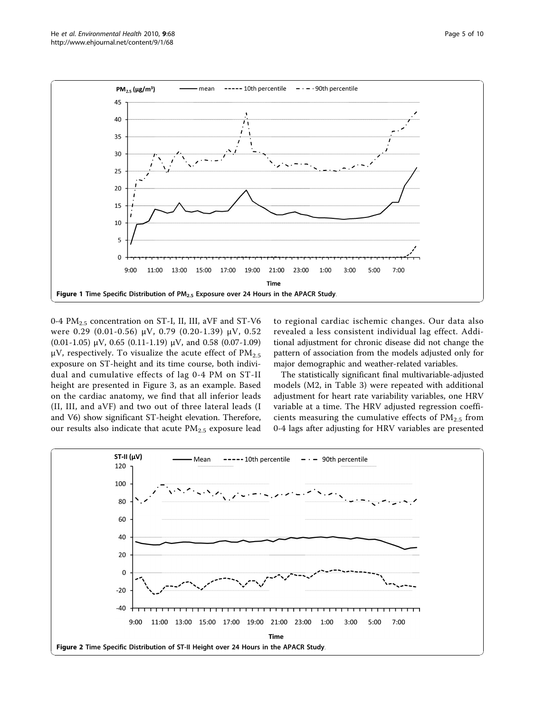<span id="page-4-0"></span>

0-4 PM<sub>2.5</sub> concentration on ST-I, II, III, aVF and ST-V6 were 0.29 (0.01-0.56) μV, 0.79 (0.20-1.39) μV, 0.52 (0.01-1.05) μV, 0.65 (0.11-1.19) μV, and 0.58 (0.07-1.09) μV, respectively. To visualize the acute effect of  $PM_{2.5}$ exposure on ST-height and its time course, both individual and cumulative effects of lag 0-4 PM on ST-II height are presented in Figure [3](#page-5-0), as an example. Based on the cardiac anatomy, we find that all inferior leads (II, III, and aVF) and two out of three lateral leads (I and V6) show significant ST-height elevation. Therefore, our results also indicate that acute  $PM_{2.5}$  exposure lead to regional cardiac ischemic changes. Our data also revealed a less consistent individual lag effect. Additional adjustment for chronic disease did not change the pattern of association from the models adjusted only for major demographic and weather-related variables.

The statistically significant final multivariable-adjusted models (M2, in Table [3](#page-5-0)) were repeated with additional adjustment for heart rate variability variables, one HRV variable at a time. The HRV adjusted regression coefficients measuring the cumulative effects of  $PM<sub>2.5</sub>$  from 0-4 lags after adjusting for HRV variables are presented

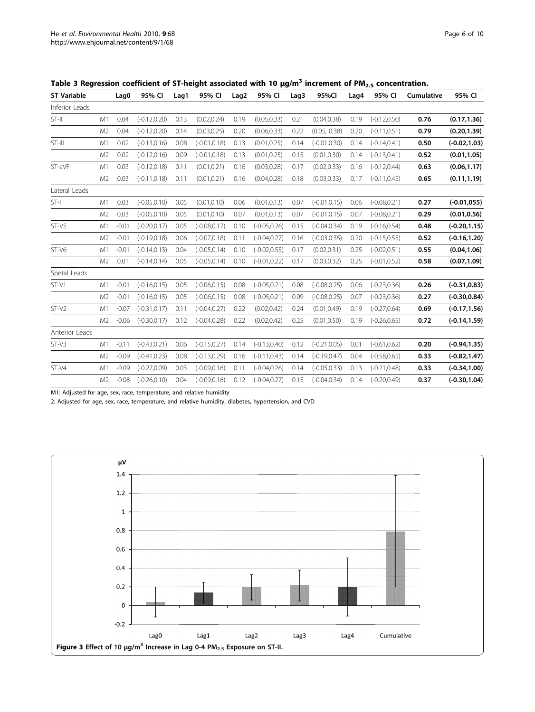| <b>ST Variable</b> |                | Lag0    | 95% CI          | Lag1 | 95% CI          | Lag <sub>2</sub> | 95% CI          | Lag3 | 95%CI           | Lag4 | 95% CI          | Cumulative | 95% CI          |
|--------------------|----------------|---------|-----------------|------|-----------------|------------------|-----------------|------|-----------------|------|-----------------|------------|-----------------|
| Inferior Leads     |                |         |                 |      |                 |                  |                 |      |                 |      |                 |            |                 |
| ST-II              | M1             | 0.04    | $(-0.12, 0.20)$ | 0.13 | (0.02, 0.24)    | 0.19             | (0.05, 0.33)    | 0.21 | (0.04, 0.38)    | 0.19 | $(-0.12, 0.50)$ | 0.76       | (0.17, 1.36)    |
|                    | M <sub>2</sub> | 0.04    | $(-0.12, 0.20)$ | 0.14 | (0.03, 0.25)    | 0.20             | (0.06, 0.33)    | 0.22 | (0.05, 0.38)    | 0.20 | $(-0.11, 0.51)$ | 0.79       | (0.20, 1.39)    |
| ST-III             | M1             | 0.02    | $(-0.13, 0.16)$ | 0.08 | $(-0.01, 0.18)$ | 0.13             | (0.01, 0.25)    | 0.14 | $(-0.01, 0.30)$ | 0.14 | $(-0.14, 0.41)$ | 0.50       | $(-0.02, 1.03)$ |
|                    | M <sub>2</sub> | 0.02    | $(-0.12, 0.16)$ | 0.09 | $(-0.01, 0.18)$ | 0.13             | (0.01, 0.25)    | 0.15 | (0.01, 0.30)    | 0.14 | $(-0.13, 0.41)$ | 0.52       | (0.01, 1.05)    |
| ST-aVF             | M1             | 0.03    | $(-0.12, 0.18)$ | 0.11 | (0.01, 0.21)    | 0.16             | (0.03, 0.28)    | 0.17 | (0.02, 0.33)    | 0.16 | $(-0.12, 0.44)$ | 0.63       | (0.06, 1.17)    |
|                    | M2             | 0.03    | $(-0.11, 0.18)$ | 0.11 | (0.01, 0.21)    | 0.16             | (0.04, 0.28)    | 0.18 | (0.03, 0.33)    | 0.17 | $(-0.11, 0.45)$ | 0.65       | (0.11, 1.19)    |
| Lateral Leads      |                |         |                 |      |                 |                  |                 |      |                 |      |                 |            |                 |
| ST-I               | M1             | 0.03    | $(-0.05, 0.10)$ | 0.05 | (0.01, 0.10)    | 0.06             | (0.01, 0.13)    | 0.07 | $(-0.01, 0.15)$ | 0.06 | $(-0.08, 0.21)$ | 0.27       | $(-0.01, 055)$  |
|                    | M <sub>2</sub> | 0.03    | $(-0.05, 0.10)$ | 0.05 | (0.01, 0.10)    | 0.07             | (0.01, 0.13)    | 0.07 | $(-0.01, 0.15)$ | 0.07 | $(-0.08, 0.21)$ | 0.29       | (0.01, 0.56)    |
| ST-V5              | M1             | $-0.01$ | $(-0.20, 0.17)$ | 0.05 | $(-0.08, 0.17)$ | 0.10             | $(-0.05, 0.26)$ | 0.15 | $(-0.04, 0.34)$ | 0.19 | $(-0.16, 0.54)$ | 0.48       | $(-0.20, 1.15)$ |
|                    | M <sub>2</sub> | $-0.01$ | $(-0.19, 0.18)$ | 0.06 | $(-0.07, 0.18)$ | 0.11             | $(-0.04, 0.27)$ | 0.16 | $(-0.03, 0.35)$ | 0.20 | $(-0.15, 0.55)$ | 0.52       | $(-0.16, 1.20)$ |
| ST-V6              | M1             | $-0.01$ | $(-0.14, 0.13)$ | 0.04 | $(-0.05, 0.14)$ | 0.10             | $(-0.02, 0.55)$ | 0.17 | (0.02, 0.31)    | 0.25 | $(-0.02, 0.51)$ | 0.55       | (0.04, 1.06)    |
|                    | M <sub>2</sub> | 0.01    | $(-0.14, 0.14)$ | 0.05 | $(-0.05, 0.14)$ | 0.10             | $(-0.01, 0.22)$ | 0.17 | (0.03, 0.32)    | 0.25 | $(-0.01, 0.52)$ | 0.58       | (0.07, 1.09)    |
| Spetal Leads       |                |         |                 |      |                 |                  |                 |      |                 |      |                 |            |                 |
| ST-V1              | M1             | $-0.01$ | $(-0.16, 0.15)$ | 0.05 | $(-0.06, 0.15)$ | 0.08             | $(-0.05, 0.21)$ | 0.08 | $(-0.08, 0.25)$ | 0.06 | $(-0.23, 0.36)$ | 0.26       | $(-0.31, 0.83)$ |
|                    | M <sub>2</sub> | $-0.01$ | $(-0.16, 0.15)$ | 0.05 | $(-0.06, 0.15)$ | 0.08             | $(-0.05, 0.21)$ | 0.09 | $(-0.08, 0.25)$ | 0.07 | $(-0.23, 0.36)$ | 0.27       | $(-0.30, 0.84)$ |
| $ST-V2$            | M1             | $-0.07$ | $(-0.31, 0.17)$ | 0.11 | $(-0.04, 0.27)$ | 0.22             | (0.02, 0.42)    | 0.24 | (0.01, 0.49)    | 0.19 | $(-0.27, 0.64)$ | 0.69       | $(-0.17, 1.56)$ |
|                    | M2             | $-0.06$ | $(-0.30, 0.17)$ | 0.12 | $(-0.04, 0.28)$ | 0.22             | (0.02, 0.42)    | 0.25 | (0.01, 0.50)    | 0.19 | $(-0.26, 0.65)$ | 0.72       | $(-0.14, 1.59)$ |
| Anterior Leads     |                |         |                 |      |                 |                  |                 |      |                 |      |                 |            |                 |
| ST-V3              | M1             | $-0.11$ | $(-0.43, 0.21)$ | 0.06 | $(-0.15, 0.27)$ | 0.14             | $(-0.13, 0.40)$ | 0.12 | $(-0.21, 0.05)$ | 0.01 | $(-0.61, 0.62)$ | 0.20       | $(-0.94, 1.35)$ |
|                    | M <sub>2</sub> | $-0.09$ | $(-0.41, 0.23)$ | 0.08 | $(-0.13, 0.29)$ | 0.16             | $(-0.11, 0.43)$ | 0.14 | $(-0.19, 0.47)$ | 0.04 | $(-0.58, 0.65)$ | 0.33       | $(-0.82, 1.47)$ |
| $ST-V4$            | M1             | $-0.09$ | $(-0.27, 0.09)$ | 0.03 | $(-0.09, 0.16)$ | 0.11             | $(-0.04, 0.26)$ | 0.14 | $(-0.05, 0.33)$ | 0.13 | $(-0.21, 0.48)$ | 0.33       | $(-0.34, 1.00)$ |
|                    | M <sub>2</sub> | $-0.08$ | $(-0.26, 0.10)$ | 0.04 | $(-0.09, 0.16)$ | 0.12             | $(-0.04, 0.27)$ | 0.15 | $(-0.04, 0.34)$ | 0.14 | $(-0.20, 0.49)$ | 0.37       | $(-0.30, 1.04)$ |
|                    |                |         |                 |      |                 |                  |                 |      |                 |      |                 |            |                 |

<span id="page-5-0"></span>Table 3 Regression coefficient of ST-height associated with 10  $\mu g/m^3$  increment of PM<sub>2.5</sub> concentration.

M1: Adjusted for age, sex, race, temperature, and relative humidity

2: Adjusted for age, sex, race, temperature, and relative humidity, diabetes, hypertension, and CVD

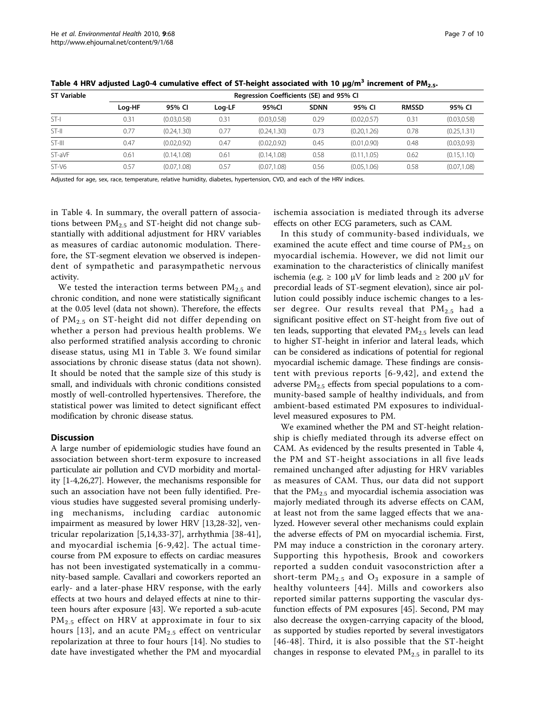| <b>ST Variable</b> | Regression Coefficients (SE) and 95% CI |              |        |              |             |              |              |              |  |  |  |
|--------------------|-----------------------------------------|--------------|--------|--------------|-------------|--------------|--------------|--------------|--|--|--|
|                    | Log-HF                                  | 95% CI       | Log-LF | 95%Cl        | <b>SDNN</b> | 95% CI       | <b>RMSSD</b> | 95% CI       |  |  |  |
| ST-I               | 0.31                                    | (0.03.0.58)  | 0.31   | (0.03, 0.58) | 0.29        | (0.02, 0.57) | 0.31         | (0.03, 0.58) |  |  |  |
| $ST-H$             | 0.77                                    | (0.24, 1.30) | 0.77   | (0.24, 1.30) | 0.73        | (0.20, 1.26) | 0.78         | (0.25, 1.31) |  |  |  |
| ST-III             | 0.47                                    | (0.02, 0.92) | 0.47   | (0.02, 0.92) | 0.45        | (0.01, 0.90) | 0.48         | (0.03, 0.93) |  |  |  |
| ST-aVF             | 0.61                                    | (0.14, 1.08) | 0.61   | (0.14, 1.08) | 0.58        | (0.11, 1.05) | 0.62         | (0.15, 1.10) |  |  |  |
| ST-V6              | 0.57                                    | (0.07, 1.08) | 0.57   | (0.07, 1.08) | 0.56        | (0.05, 1.06) | 0.58         | (0.07, 1.08) |  |  |  |

Table 4 HRV adjusted Lag0-4 cumulative effect of ST-height associated with 10  $\mu$ g/m<sup>3</sup> increment of PM<sub>2.5</sub>.

Adjusted for age, sex, race, temperature, relative humidity, diabetes, hypertension, CVD, and each of the HRV indices.

in Table 4. In summary, the overall pattern of associations between  $PM_{2.5}$  and ST-height did not change substantially with additional adjustment for HRV variables as measures of cardiac autonomic modulation. Therefore, the ST-segment elevation we observed is independent of sympathetic and parasympathetic nervous activity.

We tested the interaction terms between  $PM_{2.5}$  and chronic condition, and none were statistically significant at the 0.05 level (data not shown). Therefore, the effects of  $PM_{2.5}$  on ST-height did not differ depending on whether a person had previous health problems. We also performed stratified analysis according to chronic disease status, using M1 in Table [3](#page-5-0). We found similar associations by chronic disease status (data not shown). It should be noted that the sample size of this study is small, and individuals with chronic conditions consisted mostly of well-controlled hypertensives. Therefore, the statistical power was limited to detect significant effect modification by chronic disease status.

# **Discussion**

A large number of epidemiologic studies have found an association between short-term exposure to increased particulate air pollution and CVD morbidity and mortality [\[1](#page-8-0)-[4](#page-8-0),[26](#page-9-0),[27](#page-9-0)]. However, the mechanisms responsible for such an association have not been fully identified. Previous studies have suggested several promising underlying mechanisms, including cardiac autonomic impairment as measured by lower HRV [\[13](#page-8-0)[,28](#page-9-0)-[32\]](#page-9-0), ventricular repolarization [[5,14](#page-8-0)[,33-37](#page-9-0)], arrhythmia [\[38](#page-9-0)-[41](#page-9-0)], and myocardial ischemia [[6](#page-8-0)-[9](#page-8-0),[42\]](#page-9-0). The actual timecourse from PM exposure to effects on cardiac measures has not been investigated systematically in a community-based sample. Cavallari and coworkers reported an early- and a later-phase HRV response, with the early effects at two hours and delayed effects at nine to thirteen hours after exposure [\[43\]](#page-9-0). We reported a sub-acute PM<sub>2.5</sub> effect on HRV at approximate in four to six hours [[13\]](#page-8-0), and an acute  $PM_{2.5}$  effect on ventricular repolarization at three to four hours [\[14](#page-8-0)]. No studies to date have investigated whether the PM and myocardial ischemia association is mediated through its adverse effects on other ECG parameters, such as CAM.

In this study of community-based individuals, we examined the acute effect and time course of  $PM_{2.5}$  on myocardial ischemia. However, we did not limit our examination to the characteristics of clinically manifest ischemia (e.g. ≥ 100 μV for limb leads and ≥ 200 μV for precordial leads of ST-segment elevation), since air pollution could possibly induce ischemic changes to a lesser degree. Our results reveal that  $PM_{2.5}$  had a significant positive effect on ST-height from five out of ten leads, supporting that elevated  $PM<sub>2.5</sub>$  levels can lead to higher ST-height in inferior and lateral leads, which can be considered as indications of potential for regional myocardial ischemic damage. These findings are consistent with previous reports [[6-9](#page-8-0),[42](#page-9-0)], and extend the adverse  $PM_{2.5}$  effects from special populations to a community-based sample of healthy individuals, and from ambient-based estimated PM exposures to individuallevel measured exposures to PM.

We examined whether the PM and ST-height relationship is chiefly mediated through its adverse effect on CAM. As evidenced by the results presented in Table 4, the PM and ST-height associations in all five leads remained unchanged after adjusting for HRV variables as measures of CAM. Thus, our data did not support that the  $PM<sub>2.5</sub>$  and myocardial ischemia association was majorly mediated through its adverse effects on CAM, at least not from the same lagged effects that we analyzed. However several other mechanisms could explain the adverse effects of PM on myocardial ischemia. First, PM may induce a constriction in the coronary artery. Supporting this hypothesis, Brook and coworkers reported a sudden conduit vasoconstriction after a short-term  $PM_{2.5}$  and  $O_3$  exposure in a sample of healthy volunteers [[44](#page-9-0)]. Mills and coworkers also reported similar patterns supporting the vascular dysfunction effects of PM exposures [\[45](#page-9-0)]. Second, PM may also decrease the oxygen-carrying capacity of the blood, as supported by studies reported by several investigators [[46-48](#page-9-0)]. Third, it is also possible that the ST-height changes in response to elevated  $PM_{2.5}$  in parallel to its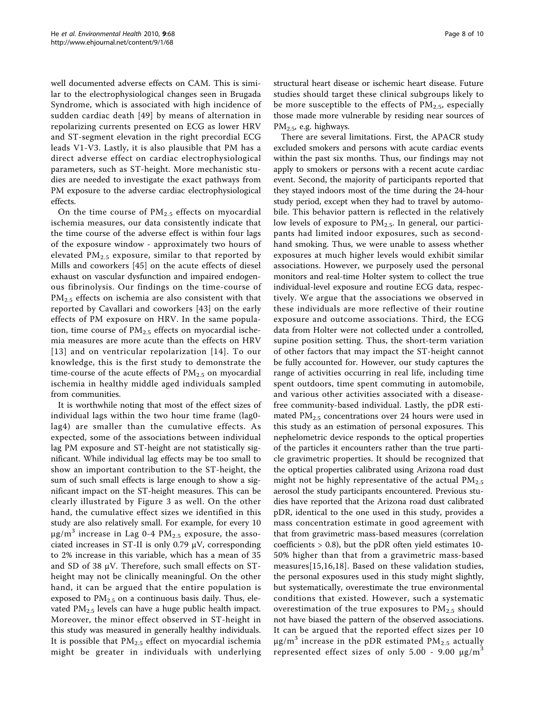well documented adverse effects on CAM. This is similar to the electrophysiological changes seen in Brugada Syndrome, which is associated with high incidence of sudden cardiac death [[49](#page-9-0)] by means of alternation in repolarizing currents presented on ECG as lower HRV and ST-segment elevation in the right precordial ECG leads V1-V3. Lastly, it is also plausible that PM has a direct adverse effect on cardiac electrophysiological parameters, such as ST-height. More mechanistic studies are needed to investigate the exact pathways from PM exposure to the adverse cardiac electrophysiological effects.

On the time course of  $PM<sub>2.5</sub>$  effects on myocardial ischemia measures, our data consistently indicate that the time course of the adverse effect is within four lags of the exposure window - approximately two hours of elevated  $PM_{2.5}$  exposure, similar to that reported by Mills and coworkers [[45\]](#page-9-0) on the acute effects of diesel exhaust on vascular dysfunction and impaired endogenous fibrinolysis. Our findings on the time-course of PM<sub>2.5</sub> effects on ischemia are also consistent with that reported by Cavallari and coworkers [[43\]](#page-9-0) on the early effects of PM exposure on HRV. In the same population, time course of  $PM_{2.5}$  effects on myocardial ischemia measures are more acute than the effects on HRV [[13](#page-8-0)] and on ventricular repolarization [[14\]](#page-8-0). To our knowledge, this is the first study to demonstrate the time-course of the acute effects of  $PM<sub>2.5</sub>$  on myocardial ischemia in healthy middle aged individuals sampled from communities.

It is worthwhile noting that most of the effect sizes of individual lags within the two hour time frame (lag0 lag4) are smaller than the cumulative effects. As expected, some of the associations between individual lag PM exposure and ST-height are not statistically significant. While individual lag effects may be too small to show an important contribution to the ST-height, the sum of such small effects is large enough to show a significant impact on the ST-height measures. This can be clearly illustrated by Figure [3](#page-5-0) as well. On the other hand, the cumulative effect sizes we identified in this study are also relatively small. For example, for every 10  $\mu$ g/m<sup>3</sup> increase in Lag 0-4 PM<sub>2.5</sub> exposure, the associated increases in ST-II is only 0.79 μV, corresponding to 2% increase in this variable, which has a mean of 35 and SD of 38  $\mu$ V. Therefore, such small effects on STheight may not be clinically meaningful. On the other hand, it can be argued that the entire population is exposed to  $PM_{2.5}$  on a continuous basis daily. Thus, elevated  $PM<sub>2.5</sub>$  levels can have a huge public health impact. Moreover, the minor effect observed in ST-height in this study was measured in generally healthy individuals. It is possible that  $PM_{2.5}$  effect on myocardial ischemia might be greater in individuals with underlying structural heart disease or ischemic heart disease. Future studies should target these clinical subgroups likely to be more susceptible to the effects of  $PM_{2.5}$ , especially those made more vulnerable by residing near sources of  $PM<sub>2.5</sub>$ , e.g. highways.

There are several limitations. First, the APACR study excluded smokers and persons with acute cardiac events within the past six months. Thus, our findings may not apply to smokers or persons with a recent acute cardiac event. Second, the majority of participants reported that they stayed indoors most of the time during the 24-hour study period, except when they had to travel by automobile. This behavior pattern is reflected in the relatively low levels of exposure to PM<sub>2.5</sub>. In general, our participants had limited indoor exposures, such as secondhand smoking. Thus, we were unable to assess whether exposures at much higher levels would exhibit similar associations. However, we purposely used the personal monitors and real-time Holter system to collect the true individual-level exposure and routine ECG data, respectively. We argue that the associations we observed in these individuals are more reflective of their routine exposure and outcome associations. Third, the ECG data from Holter were not collected under a controlled, supine position setting. Thus, the short-term variation of other factors that may impact the ST-height cannot be fully accounted for. However, our study captures the range of activities occurring in real life, including time spent outdoors, time spent commuting in automobile, and various other activities associated with a diseasefree community-based individual. Lastly, the pDR estimated  $PM_{2,5}$  concentrations over 24 hours were used in this study as an estimation of personal exposures. This nephelometric device responds to the optical properties of the particles it encounters rather than the true particle gravimetric properties. It should be recognized that the optical properties calibrated using Arizona road dust might not be highly representative of the actual  $PM_{2.5}$ aerosol the study participants encountered. Previous studies have reported that the Arizona road dust calibrated pDR, identical to the one used in this study, provides a mass concentration estimate in good agreement with that from gravimetric mass-based measures (correlation coefficients > 0.8), but the pDR often yield estimates 10- 50% higher than that from a gravimetric mass-based measures[[15,16,18](#page-8-0)]. Based on these validation studies, the personal exposures used in this study might slightly, but systematically, overestimate the true environmental conditions that existed. However, such a systematic overestimation of the true exposures to  $PM_{2.5}$  should not have biased the pattern of the observed associations. It can be argued that the reported effect sizes per 10  $\mu$ g/m<sup>3</sup> increase in the pDR estimated PM<sub>2.5</sub> actually represented effect sizes of only 5.00 - 9.00  $\mu$ g/m<sup>3</sup>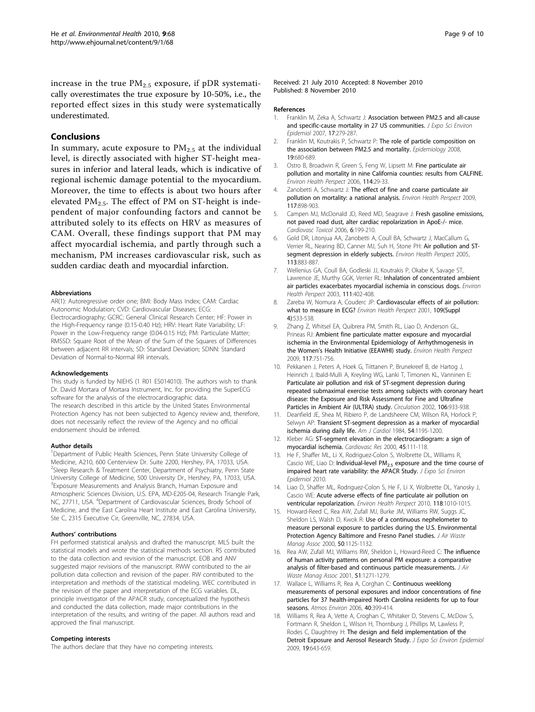# <span id="page-8-0"></span>Conclusions

In summary, acute exposure to  $PM<sub>2.5</sub>$  at the individual level, is directly associated with higher ST-height measures in inferior and lateral leads, which is indicative of regional ischemic damage potential to the myocardium. Moreover, the time to effects is about two hours after elevated  $PM_{2.5}$ . The effect of PM on ST-height is independent of major confounding factors and cannot be attributed solely to its effects on HRV as measures of CAM. Overall, these findings support that PM may affect myocardial ischemia, and partly through such a mechanism, PM increases cardiovascular risk, such as sudden cardiac death and myocardial infarction.

#### Abbreviations

AR(1): Autoregressive order one; BMI: Body Mass Index; CAM: Cardiac Autonomic Modulation; CVD: Cardiovascular Diseases; ECG: Electrocardiography; GCRC: General Clinical Research Center; HF: Power in the High-Frequency range (0.15-0.40 Hz); HRV: Heart Rate Variability; LF: Power in the Low-Frequency range (0.04-0.15 Hz); PM: Particulate Matter; RMSSD: Square Root of the Mean of the Sum of the Squares of Differences between adjacent RR intervals; SD: Standard Deviation; SDNN: Standard Deviation of Normal-to-Normal RR intervals.

#### Acknowledgements

This study is funded by NIEHS (1 R01 ES014010). The authors wish to thank Dr. David Mortara of Mortara Instrument, Inc. for providing the SuperECG software for the analysis of the electrocardiographic data. The research described in this article by the United States Environmental Protection Agency has not been subjected to Agency review and, therefore, does not necessarily reflect the review of the Agency and no official endorsement should be inferred.

#### Author details

<sup>1</sup>Department of Public Health Sciences, Penn State University College of Medicine, A210, 600 Centerview Dr. Suite 2200, Hershey, PA, 17033, USA. <sup>2</sup>Sleep Research & Treatment Center, Department of Psychiatry, Penn State University College of Medicine, 500 University Dr., Hershey, PA, 17033, USA. <sup>3</sup> Exposure Measurements and Analysis Branch, Human Exposure and Atmospheric Sciences Division, U.S. EPA, MD-E205-04, Research Triangle Park, NC, 27711, USA. <sup>4</sup>Department of Cardiovascular Sciences, Brody School of Medicine, and the East Carolina Heart Institute and East Carolina University, Ste C, 2315 Executive Cir, Greenville, NC, 27834, USA.

#### Authors' contributions

FH performed statistical analysis and drafted the manuscript. MLS built the statistical models and wrote the statistical methods section. RS contributed to the data collection and revision of the manuscript. EOB and ANV suggested major revisions of the manuscript. RWW contributed to the air pollution data collection and revision of the paper. RW contributed to the interpretation and methods of the statistical modeling. WEC contributed in the revision of the paper and interpretation of the ECG variables. DL, principle investigator of the APACR study, conceptualized the hypothesis and conducted the data collection, made major contributions in the interpretation of the results, and writing of the paper. All authors read and approved the final manuscript.

#### Competing interests

The authors declare that they have no competing interests.

Received: 21 July 2010 Accepted: 8 November 2010 Published: 8 November 2010

#### References

- 1. Franklin M, Zeka A, Schwartz J: [Association between PM2.5 and all-cause](http://www.ncbi.nlm.nih.gov/pubmed/17006435?dopt=Abstract) [and specific-cause mortality in 27 US communities.](http://www.ncbi.nlm.nih.gov/pubmed/17006435?dopt=Abstract) J Expo Sci Environ Epidemiol 2007, 17:279-287.
- 2. Franklin M, Koutrakis P, Schwartz P: [The role of particle composition on](http://www.ncbi.nlm.nih.gov/pubmed/18714438?dopt=Abstract) [the association between PM2.5 and mortality.](http://www.ncbi.nlm.nih.gov/pubmed/18714438?dopt=Abstract) Epidemiology 2008, 19:680-689.
- 3. Ostro B, Broadwin R, Green S, Feng W, Lipsett M: [Fine particulate air](http://www.ncbi.nlm.nih.gov/pubmed/16393654?dopt=Abstract) [pollution and mortality in nine California counties: results from CALFINE.](http://www.ncbi.nlm.nih.gov/pubmed/16393654?dopt=Abstract) Environ Health Perspect 2006, 114:29-33.
- 4. Zanobetti A, Schwartz J: [The effect of fine and coarse particulate air](http://www.ncbi.nlm.nih.gov/pubmed/19590680?dopt=Abstract) [pollution on mortality: a national analysis.](http://www.ncbi.nlm.nih.gov/pubmed/19590680?dopt=Abstract) Environ Health Perspect 2009, 117:898-903.
- Campen MJ, McDonald JD, Reed MD, Seagrave J: [Fresh gasoline emissions,](http://www.ncbi.nlm.nih.gov/pubmed/17347530?dopt=Abstract) [not paved road dust, alter cardiac repolarization in ApoE-/- mice.](http://www.ncbi.nlm.nih.gov/pubmed/17347530?dopt=Abstract) Cardiovasc Toxicol 2006, 6:199-210.
- 6. Gold DR, Litonjua AA, Zanobetti A, Coull BA, Schwartz J, MacCallum G, Verrier RL, Nearing BD, Canner MJ, Suh H, Stone PH: [Air pollution and ST](http://www.ncbi.nlm.nih.gov/pubmed/16002377?dopt=Abstract)[segment depression in elderly subjects.](http://www.ncbi.nlm.nih.gov/pubmed/16002377?dopt=Abstract) Environ Health Perspect 2005, 113:883-887.
- 7. Wellenius GA, Coull BA, Godleski JJ, Koutrakis P, Okabe K, Savage ST, Lawrence JE, Murthy GGK, Verrier RL: [Inhalation of concentrated ambient](http://www.ncbi.nlm.nih.gov/pubmed/12676590?dopt=Abstract) [air particles exacerbates myocardial ischemia in conscious dogs.](http://www.ncbi.nlm.nih.gov/pubmed/12676590?dopt=Abstract) Environ Health Perspect 2003, 111:402-408.
- 8. Zareba W, Nomura A, Couderc JP: [Cardiovascular effects of air pollution:](http://www.ncbi.nlm.nih.gov/pubmed/11544159?dopt=Abstract) [what to measure in ECG?](http://www.ncbi.nlm.nih.gov/pubmed/11544159?dopt=Abstract) Environ Health Perspect 2001, 109(Suppl 4):533-538.
- 9. Zhang Z, Whitsel EA, Quibrera PM, Smith RL, Liao D, Anderson GL, Prineas RJ: [Ambient fine particulate matter exposure and myocardial](http://www.ncbi.nlm.nih.gov/pubmed/19479017?dopt=Abstract) [ischemia in the Environmental Epidemiology of Arrhythmogenesis in](http://www.ncbi.nlm.nih.gov/pubmed/19479017?dopt=Abstract) the Women'[s Health Initiative \(EEAWHI\) study.](http://www.ncbi.nlm.nih.gov/pubmed/19479017?dopt=Abstract) Environ Health Perspect 2009, 117:751-756.
- 10. Pekkanen J, Peters A, Hoek G, Tiittanen P, Brunekreef B, de Hartog J, Heinrich J, Ibald-Mulli A, Kreyling WG, Lanki T, Timonen KL, Vanninen E: [Particulate air pollution and risk of ST-segment depression during](http://www.ncbi.nlm.nih.gov/pubmed/12186796?dopt=Abstract) [repeated submaximal exercise tests among subjects with coronary heart](http://www.ncbi.nlm.nih.gov/pubmed/12186796?dopt=Abstract) [disease: the Exposure and Risk Assessment for Fine and Ultrafine](http://www.ncbi.nlm.nih.gov/pubmed/12186796?dopt=Abstract) [Particles in Ambient Air \(ULTRA\) study.](http://www.ncbi.nlm.nih.gov/pubmed/12186796?dopt=Abstract) Circulation 2002, 106:933-938.
- 11. Deanfield JE, Shea M, Ribiero P, de Landsheere CM, Wilson RA, Horlock P, Selwyn AP: [Transient ST-segment depression as a marker of myocardial](http://www.ncbi.nlm.nih.gov/pubmed/6334436?dopt=Abstract) [ischemia during daily life.](http://www.ncbi.nlm.nih.gov/pubmed/6334436?dopt=Abstract) Am J Cardiol 1984, 54:1195-1200.
- 12. Kleber AG: [ST-segment elevation in the electrocardiogram: a sign of](http://www.ncbi.nlm.nih.gov/pubmed/10728321?dopt=Abstract) [myocardial ischemia.](http://www.ncbi.nlm.nih.gov/pubmed/10728321?dopt=Abstract) Cardiovasc Res 2000, 45:111-118.
- 13. He F, Shaffer ML, Li X, Rodriguez-Colon S, Wolbrette DL, Williams R, Cascio WE, Liao D: Individual-level  $PM_{2.5}$  [exposure and the time course of](http://www.ncbi.nlm.nih.gov/pubmed/20372190?dopt=Abstract) [impaired heart rate variability: the APACR Study.](http://www.ncbi.nlm.nih.gov/pubmed/20372190?dopt=Abstract) J Expo Sci Environ Epidemiol 2010.
- 14. Liao D, Shaffer ML, Rodriguez-Colon S, He F, Li X, Wolbrette DL, Yanosky J, Cascio WE: [Acute adverse effects of fine particulate air pollution on](http://www.ncbi.nlm.nih.gov/pubmed/20363686?dopt=Abstract) [ventricular repolarization.](http://www.ncbi.nlm.nih.gov/pubmed/20363686?dopt=Abstract) Environ Health Perspect 2010, 118:1010-1015.
- 15. Howard-Reed C, Rea AW, Zufall MJ, Burke JM, Williams RW, Suggs JC, Sheldon LS, Walsh D, Kwok R: [Use of a continuous nephelometer to](http://www.ncbi.nlm.nih.gov/pubmed/10939206?dopt=Abstract) [measure personal exposure to particles during the U.S. Environmental](http://www.ncbi.nlm.nih.gov/pubmed/10939206?dopt=Abstract) [Protection Agency Baltimore and Fresno Panel studies.](http://www.ncbi.nlm.nih.gov/pubmed/10939206?dopt=Abstract) J Air Waste Manag Assoc 2000, 50:1125-1132.
- 16. Rea AW, Zufall MJ, Williams RW, Sheldon L, Howard-Reed C: [The influence](http://www.ncbi.nlm.nih.gov/pubmed/11575880?dopt=Abstract) [of human activity patterns on personal PM exposure: a comparative](http://www.ncbi.nlm.nih.gov/pubmed/11575880?dopt=Abstract) [analysis of filter-based and continuous particle measurements.](http://www.ncbi.nlm.nih.gov/pubmed/11575880?dopt=Abstract) J Air Waste Manag Assoc 2001, 51:1271-1279.
- 17. Wallace L, Williams R, Rea A, Corghan C: Continuous weeklong measurements of personal exposures and indoor concentrations of fine particles for 37 health-impaired North Carolina residents for up to four seasons. Atmos Environ 2006, 40:399-414.
- 18. Williams R, Rea A, Vette A, Croghan C, Whitaker D, Stevens C, McDow S, Fortmann R, Sheldon L, Wilson H, Thornburg J, Phillips M, Lawless P, Rodes C, Daughtrey H: [The design and field implementation of the](http://www.ncbi.nlm.nih.gov/pubmed/18941480?dopt=Abstract) [Detroit Exposure and Aerosol Research Study.](http://www.ncbi.nlm.nih.gov/pubmed/18941480?dopt=Abstract) J Expo Sci Environ Epidemiol 2009, 19:643-659.